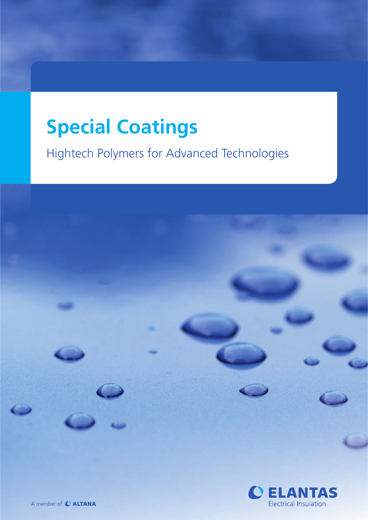# **Special Coatings**

Hightech Polymers for Advanced Technologies

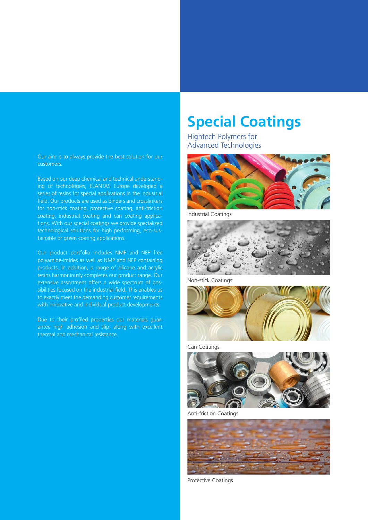Our aim is to always provide the best solution for our customers.

Based on our deep chemical and technical understanding of technologies, ELANTAS Europe developed a series of resins for special applications in the industrial field. Our products are used as binders and crosslinkers for non-stick coating, protective coating, anti-friction coating, industrial coating and can coating applications. With our special coatings we provide specialized technological solutions for high performing, eco-sustainable or green coating applications.

Our product portfolio includes NMP and NEP free polyamide-imides as well as NMP and NEP containing products. In addition, a range of silicone and acrylic resins harmoniously completes our product range. Our extensive assortment offers a wide spectrum of possibilities focused on the industrial field. This enables us to exactly meet the demanding customer requirements with innovative and individual product developments.

Due to their profiled properties our materials guarantee high adhesion and slip, along with excellent thermal and mechanical resistance.

# **Special Coatings**

Hightech Polymers for Advanced Technologies



Industrial Coatings



Non-stick Coatings



Can Coatings



Anti-friction Coatings



Protective Coatings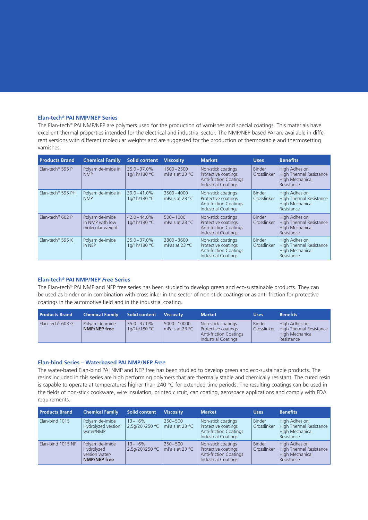#### **Elan-tech® PAI NMP/NEP Series**

The Elan-tech® PAI NMP/NEP are polymers used for the production of varnishes and special coatings. This materials have excellent thermal properties intended for the electrical and industrial sector. The NMP/NEP based PAI are available in different versions with different molecular weights and are suggested for the production of thermostable and thermosetting varnishes.

| <b>Products Brand</b>         | <b>Chemical Family</b>                                 | Solid content                   | <b>Viscosity</b>                  | <b>Market</b>                                                                                            | <b>Uses</b>                  | <b>Benefits</b>                                                                  |
|-------------------------------|--------------------------------------------------------|---------------------------------|-----------------------------------|----------------------------------------------------------------------------------------------------------|------------------------------|----------------------------------------------------------------------------------|
| Elan-tech <sup>®</sup> 595 P  | Polyamide-imide in<br><b>NMP</b>                       | $35.0 - 37.0%$<br>1q/1h/180 °C  | $1500 - 2500$<br>mPa.s at $23 °C$ | Non-stick coatings<br>Protective coatings<br><b>Anti-friction Coatings</b><br><b>Industrial Coatings</b> | Binder<br>Crosslinker        | <b>High Adhesion</b><br>High Thermal Resistance<br>High Mechanical<br>Resistance |
| Elan-tech <sup>®</sup> 595 PH | Polyamide-imide in<br><b>NMP</b>                       | 39.0-41.0%<br>1q/1h/180 °C      | $3500 - 4000$<br>mPa.s at $23 °C$ | Non-stick coatings<br>Protective coatings<br><b>Anti-friction Coatings</b><br><b>Industrial Coatings</b> | Binder<br>Crosslinker        | <b>High Adhesion</b><br>High Thermal Resistance<br>High Mechanical<br>Resistance |
| Elan-tech <sup>®</sup> 602 P  | Polyamide-imide<br>in NMP with low<br>molecular weight | $42.0 - 44.0\%$<br>1g/1h/180 °C | $500 - 1000$<br>mPa.s at $23 °C$  | Non-stick coatings<br>Protective coatings<br><b>Anti-friction Coatings</b><br><b>Industrial Coatings</b> | <b>Binder</b><br>Crosslinker | <b>High Adhesion</b><br>High Thermal Resistance<br>High Mechanical<br>Resistance |
| Elan-tech <sup>®</sup> 595 K  | Polyamide-imide<br>in NEP                              | $35.0 - 37.0%$<br>1q/1h/180 °C  | $2800 - 3600$<br>mPas at 23 °C    | Non-stick coatings<br>Protective coatings<br><b>Anti-friction Coatings</b><br><b>Industrial Coatings</b> | Binder<br>Crosslinker        | <b>High Adhesion</b><br>High Thermal Resistance<br>High Mechanical<br>Resistance |

#### **Elan-tech® PAI NMP/NEP** *Free* **Series**

The Elan-tech® PAI NMP and NEP free series has been studied to develop green and eco-sustainable products. They can be used as binder or in combination with crosslinker in the sector of non-stick coatings or as anti-friction for protective coatings in the automotive field and in the industrial coating.

| <b>Products Brand</b>        | <b>Chemical Family</b>                 | Solid content                  | <b>Viscosity</b>                 | <b>Market</b>                                                                                     | <b>Uses</b>                  | <b>Benefits</b>                                                           |
|------------------------------|----------------------------------------|--------------------------------|----------------------------------|---------------------------------------------------------------------------------------------------|------------------------------|---------------------------------------------------------------------------|
| Elan-tech <sup>®</sup> 603 G | Polyamide-imide<br><b>NMP/NEP free</b> | $35.0 - 37.0%$<br>1g/1h/180 °C | $5000 - 10000$<br>mPa.s at 23 °C | Non-stick coatings<br>Protective coatings<br><b>Anti-friction Coatings</b><br>Industrial Coatings | <b>Binder</b><br>Crosslinker | High Adhesion<br>High Thermal Resistance<br>High Mechanical<br>Resistance |

#### **Elan-bind Series – Waterbased PAI NMP/NEP** *Free*

The water-based Elan-bind PAI NMP and NEP free has been studied to develop green and eco-sustainable products. The resins included in this series are high performing polymers that are thermally stable and chemically resistant. The cured resin is capable to operate at temperatures higher than 240  $\degree$ C for extended time periods. The resulting coatings can be used in the fields of non-stick cookware, wire insulation, printed circuit, can coating, aerospace applications and comply with FDA requirements.

| <b>Products Brand</b> | <b>Chemical Family</b>                                                 | Solid content                                  | <b>Viscosity</b> | <b>Market</b>                                                                                            | <b>Uses</b>           | <b>Benefits</b>                                                                  |
|-----------------------|------------------------------------------------------------------------|------------------------------------------------|------------------|----------------------------------------------------------------------------------------------------------|-----------------------|----------------------------------------------------------------------------------|
| Elan-bind 1015        | Polyamide-imide<br>Hydrolyzed version<br>water/NMP                     | $13 - 16%$<br>2,5q/20'/250 °C   mPa.s at 23 °C | $250 - 500$      | Non-stick coatings<br>Protective coatings<br><b>Anti-friction Coatings</b><br>Industrial Coatings        | Binder<br>Crosslinker | <b>High Adhesion</b><br>High Thermal Resistance<br>High Mechanical<br>Resistance |
| Elan-bind 1015 NF     | Polyamide-imide<br>Hydrolyzed<br>version water/<br><b>NMP/NEP free</b> | $13 - 16%$<br>2,5q/20'/250 °C   mPa.s at 23 °C | $250 - 500$      | Non-stick coatings<br>Protective coatings<br><b>Anti-friction Coatings</b><br><b>Industrial Coatings</b> | Binder<br>Crosslinker | <b>High Adhesion</b><br>High Thermal Resistance<br>High Mechanical<br>Resistance |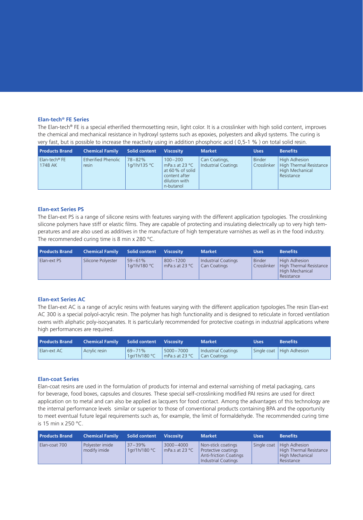#### **Elan-tech® FE Series**

The Elan-tech® FE is a special etherified thermosetting resin, light color. It is a crosslinker with high solid content, improves the chemical and mechanical resistance in hydroxyl systems such as epoxies, polyesters and alkyd systems. The curing is very fast, but is possible to increase the reactivity using in addition phosphoric acid ( 0,5-1 % ) on total solid resin.

| <b>Products Brand</b>                | <b>Chemical Family</b>       | Solid content          | <b>Viscosity</b>                                                                                  | <b>Market</b>                        | <b>Uses</b>   | <b>Benefits</b>                                                                                |
|--------------------------------------|------------------------------|------------------------|---------------------------------------------------------------------------------------------------|--------------------------------------|---------------|------------------------------------------------------------------------------------------------|
| Elan-tech <sup>®</sup> FE<br>1748 AK | Etherified Phenolic<br>resin | 78-82%<br>1g/1h/135 °C | $100 - 200$<br>mPa.s at $23 °C$<br>at 60% of solid<br>content after<br>dilution with<br>n-butanol | Can Coatings,<br>Industrial Coatings | <b>Binder</b> | <b>High Adhesion</b><br>Crosslinker   High Thermal Resistance<br>High Mechanical<br>Resistance |

#### **Elan-ext Series PS**

The Elan-ext PS is a range of silicone resins with features varying with the different application typologies. The crosslinking silicone polymers have stiff or elastic films. They are capable of protecting and insulating dielectrically up to very high temperatures and are also used as additives in the manufacture of high temperature varnishes as well as in the food industry. The recommended curing time is 8 min x 280 °C.

| <b>Products Brand</b> | <b>Chemical Family</b> | Solid content              | <b>Viscosity</b>               | <b>Market</b>                       | <b>Uses</b>           | <b>Benefits</b>                                                                  |
|-----------------------|------------------------|----------------------------|--------------------------------|-------------------------------------|-----------------------|----------------------------------------------------------------------------------|
| Elan-ext PS           | Silicone Polyester     | $59 - 61%$<br>1a/1h/180 °C | $800 - 1200$<br>mPa.s at 23 °C | Industrial Coatings<br>Can Coatings | Binder<br>Crosslinker | <b>High Adhesion</b><br>High Thermal Resistance<br>High Mechanical<br>Resistance |

#### **Elan-ext Series AC**

The Elan-ext AC is a range of acrylic resins with features varying with the different application typologies.The resin Elan-ext AC 300 is a special polyol-acrylic resin. The polymer has high functionality and is designed to reticulate in forced ventilation ovens with aliphatic poly-isocyanates. It is particularly recommended for protective coatings in industrial applications where high performances are required.

| <b>Products Brand</b> | <b>Chemical Family</b> | Solid content Viscosity                 |                                    | <b>Market</b>                       | /Uses. | <b>Benefits</b>             |
|-----------------------|------------------------|-----------------------------------------|------------------------------------|-------------------------------------|--------|-----------------------------|
| Elan-ext AC           | Acrylic resin          | $69 - 71%$<br>$1$ ar/1h/180 $\degree$ C | 5000-7000<br>$\Box$ mPa.s at 23 °C | Industrial Coatings<br>Can Coatings |        | Single coat   High Adhesion |

#### **Elan-coat Series**

Elan-coat resins are used in the formulation of products for internal and external varnishing of metal packaging, cans for beverage, food boxes, capsules and closures. These special self-crosslinking modified PAI resins are used for direct application on to metal and can also be applied as lacquers for food contact. Among the advantages of this technology are the internal performance levels similar or superior to those of conventional products containing BPA and the opportunity to meet eventual future legal requirements such as, for example, the limit of formaldehyde. The recommended curing time is 15 min x 250 °C.

| <b>Products Brand</b> | <b>Chemical Family</b>          | Solid content               | <b>Viscosity</b>                  | <b>Market</b>                                                                                     | <b>Uses</b> | <b>Benefits</b>                                                           |
|-----------------------|---------------------------------|-----------------------------|-----------------------------------|---------------------------------------------------------------------------------------------------|-------------|---------------------------------------------------------------------------|
| Elan-coat 700         | Polyester imide<br>modify imide | $37 - 39%$<br>1qr/1h/180 °C | $3000 - 4000$<br>mPa.s at $23 °C$ | Non-stick coatings<br>Protective coatings<br><b>Anti-friction Coatings</b><br>Industrial Coatings | Single coat | High Adhesion<br>High Thermal Resistance<br>High Mechanical<br>Resistance |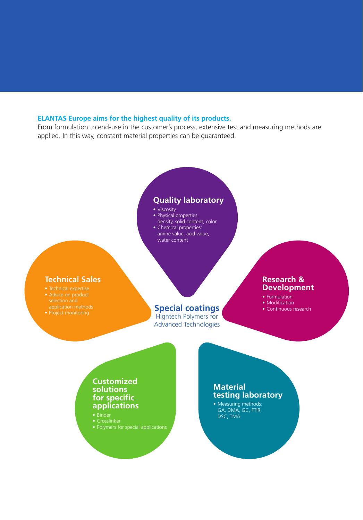#### **ELANTAS Europe aims for the highest quality of its products.**

From formulation to end-use in the customer's process, extensive test and measuring methods are applied. In this way, constant material properties can be guaranteed.



- Viscosity
- Physical properties:
- density, solid content, color • Chemical properties:
- amine value, acid value, water content

### **Technical Sales**

- 
- Project monitoring

# **Special coatings**

Hightech Polymers for Advanced Technologies

### **Research & Development**

• Formulation

• Modification • Continuous research

## **Customized solutions for specific applications**

- 
- 

# **Material testing laboratory**

• Measuring methods: GA, DMA, GC, FTIR, DSC, TMA